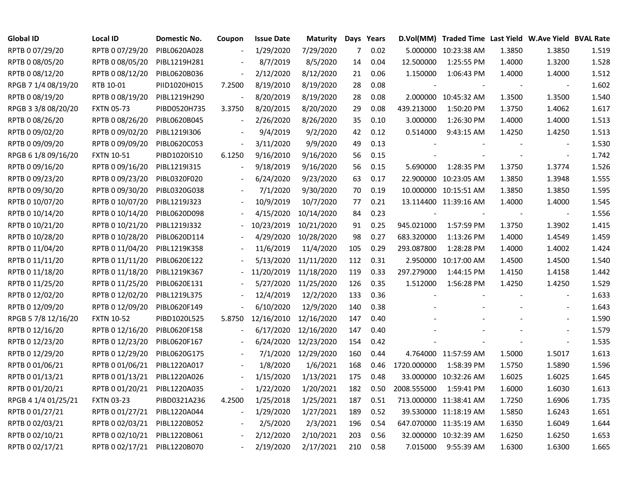| <b>Global ID</b>    | <b>Local ID</b>   | Domestic No. | Coupon         | <b>Issue Date</b> | <b>Maturity</b> |     | Days Years |             | D.Vol(MM) Traded Time Last Yield W.Ave Yield BVAL Rate |                          |                          |       |
|---------------------|-------------------|--------------|----------------|-------------------|-----------------|-----|------------|-------------|--------------------------------------------------------|--------------------------|--------------------------|-------|
| RPTB 0 07/29/20     | RPTB 0 07/29/20   | PIBL0620A028 |                | 1/29/2020         | 7/29/2020       | 7   | 0.02       |             | 5.000000 10:23:38 AM                                   | 1.3850                   | 1.3850                   | 1.519 |
| RPTB 0 08/05/20     | RPTB 0 08/05/20   | PIBL1219H281 |                | 8/7/2019          | 8/5/2020        | 14  | 0.04       | 12.500000   | 1:25:55 PM                                             | 1.4000                   | 1.3200                   | 1.528 |
| RPTB 0 08/12/20     | RPTB 0 08/12/20   | PIBL0620B036 |                | 2/12/2020         | 8/12/2020       | 21  | 0.06       | 1.150000    | 1:06:43 PM                                             | 1.4000                   | 1.4000                   | 1.512 |
| RPGB 7 1/4 08/19/20 | RTB 10-01         | PIID1020H015 | 7.2500         | 8/19/2010         | 8/19/2020       | 28  | 0.08       |             |                                                        |                          | $\overline{\phantom{a}}$ | 1.602 |
| RPTB 0 08/19/20     | RPTB 0 08/19/20   | PIBL1219H290 |                | 8/20/2019         | 8/19/2020       | 28  | 0.08       |             | 2.000000 10:45:32 AM                                   | 1.3500                   | 1.3500                   | 1.540 |
| RPGB 3 3/8 08/20/20 | <b>FXTN 05-73</b> | PIBD0520H735 | 3.3750         | 8/20/2015         | 8/20/2020       | 29  | 0.08       | 439.213000  | 1:50:20 PM                                             | 1.3750                   | 1.4062                   | 1.617 |
| RPTB 0 08/26/20     | RPTB 0 08/26/20   | PIBL0620B045 | $\blacksquare$ | 2/26/2020         | 8/26/2020       | 35  | 0.10       | 3.000000    | 1:26:30 PM                                             | 1.4000                   | 1.4000                   | 1.513 |
| RPTB 0 09/02/20     | RPTB 0 09/02/20   | PIBL1219I306 |                | 9/4/2019          | 9/2/2020        | 42  | 0.12       | 0.514000    | 9:43:15 AM                                             | 1.4250                   | 1.4250                   | 1.513 |
| RPTB 0 09/09/20     | RPTB 0 09/09/20   | PIBL0620C053 |                | 3/11/2020         | 9/9/2020        | 49  | 0.13       |             |                                                        |                          |                          | 1.530 |
| RPGB 6 1/8 09/16/20 | <b>FXTN 10-51</b> | PIBD1020I510 | 6.1250         | 9/16/2010         | 9/16/2020       | 56  | 0.15       |             |                                                        | $\overline{\phantom{a}}$ | $\blacksquare$           | 1.742 |
| RPTB 0 09/16/20     | RPTB 0 09/16/20   | PIBL12191315 |                | 9/18/2019         | 9/16/2020       | 56  | 0.15       | 5.690000    | 1:28:35 PM                                             | 1.3750                   | 1.3774                   | 1.526 |
| RPTB 0 09/23/20     | RPTB 0 09/23/20   | PIBL0320F020 |                | 6/24/2020         | 9/23/2020       | 63  | 0.17       |             | 22.900000 10:23:05 AM                                  | 1.3850                   | 1.3948                   | 1.555 |
| RPTB 0 09/30/20     | RPTB 0 09/30/20   | PIBL0320G038 |                | 7/1/2020          | 9/30/2020       | 70  | 0.19       |             | 10.000000 10:15:51 AM                                  | 1.3850                   | 1.3850                   | 1.595 |
| RPTB 0 10/07/20     | RPTB 0 10/07/20   | PIBL1219J323 |                | 10/9/2019         | 10/7/2020       | 77  | 0.21       |             | 13.114400 11:39:16 AM                                  | 1.4000                   | 1.4000                   | 1.545 |
| RPTB 0 10/14/20     | RPTB 0 10/14/20   | PIBL0620D098 |                | 4/15/2020         | 10/14/2020      | 84  | 0.23       |             |                                                        |                          | $\overline{\phantom{a}}$ | 1.556 |
| RPTB 0 10/21/20     | RPTB 0 10/21/20   | PIBL1219J332 |                | 10/23/2019        | 10/21/2020      | 91  | 0.25       | 945.021000  | 1:57:59 PM                                             | 1.3750                   | 1.3902                   | 1.415 |
| RPTB 0 10/28/20     | RPTB 0 10/28/20   | PIBL0620D114 |                | 4/29/2020         | 10/28/2020      | 98  | 0.27       | 683.320000  | 1:13:26 PM                                             | 1.4000                   | 1.4549                   | 1.459 |
| RPTB 0 11/04/20     | RPTB 0 11/04/20   | PIBL1219K358 |                | 11/6/2019         | 11/4/2020       | 105 | 0.29       | 293.087800  | 1:28:28 PM                                             | 1.4000                   | 1.4002                   | 1.424 |
| RPTB 0 11/11/20     | RPTB 0 11/11/20   | PIBL0620E122 |                | 5/13/2020         | 11/11/2020      | 112 | 0.31       |             | 2.950000 10:17:00 AM                                   | 1.4500                   | 1.4500                   | 1.540 |
| RPTB 0 11/18/20     | RPTB 0 11/18/20   | PIBL1219K367 |                | 11/20/2019        | 11/18/2020      | 119 | 0.33       | 297.279000  | 1:44:15 PM                                             | 1.4150                   | 1.4158                   | 1.442 |
| RPTB 0 11/25/20     | RPTB 0 11/25/20   | PIBL0620E131 |                | 5/27/2020         | 11/25/2020      | 126 | 0.35       | 1.512000    | 1:56:28 PM                                             | 1.4250                   | 1.4250                   | 1.529 |
| RPTB 0 12/02/20     | RPTB 0 12/02/20   | PIBL1219L375 |                | 12/4/2019         | 12/2/2020       | 133 | 0.36       |             |                                                        |                          | $\overline{\phantom{a}}$ | 1.633 |
| RPTB 0 12/09/20     | RPTB 0 12/09/20   | PIBL0620F149 |                | 6/10/2020         | 12/9/2020       | 140 | 0.38       |             |                                                        |                          | $\overline{\phantom{a}}$ | 1.643 |
| RPGB 5 7/8 12/16/20 | <b>FXTN 10-52</b> | PIBD1020L525 | 5.8750         | 12/16/2010        | 12/16/2020      | 147 | 0.40       |             |                                                        |                          | $\sim$                   | 1.590 |
| RPTB 0 12/16/20     | RPTB 0 12/16/20   | PIBL0620F158 |                | 6/17/2020         | 12/16/2020      | 147 | 0.40       |             |                                                        |                          | $\sim$                   | 1.579 |
| RPTB 0 12/23/20     | RPTB 0 12/23/20   | PIBL0620F167 |                | 6/24/2020         | 12/23/2020      | 154 | 0.42       |             |                                                        |                          | $\sim$                   | 1.535 |
| RPTB 0 12/29/20     | RPTB 0 12/29/20   | PIBL0620G175 |                | 7/1/2020          | 12/29/2020      | 160 | 0.44       |             | 4.764000 11:57:59 AM                                   | 1.5000                   | 1.5017                   | 1.613 |
| RPTB 0 01/06/21     | RPTB 0 01/06/21   | PIBL1220A017 |                | 1/8/2020          | 1/6/2021        | 168 | 0.46       | 1720.000000 | 1:58:39 PM                                             | 1.5750                   | 1.5890                   | 1.596 |
| RPTB 0 01/13/21     | RPTB 0 01/13/21   | PIBL1220A026 |                | 1/15/2020         | 1/13/2021       | 175 | 0.48       |             | 33.000000 10:32:26 AM                                  | 1.6025                   | 1.6025                   | 1.645 |
| RPTB 0 01/20/21     | RPTB 0 01/20/21   | PIBL1220A035 |                | 1/22/2020         | 1/20/2021       | 182 | 0.50       | 2008.555000 | 1:59:41 PM                                             | 1.6000                   | 1.6030                   | 1.613 |
| RPGB 4 1/4 01/25/21 | <b>FXTN 03-23</b> | PIBD0321A236 | 4.2500         | 1/25/2018         | 1/25/2021       | 187 | 0.51       |             | 713.000000 11:38:41 AM                                 | 1.7250                   | 1.6906                   | 1.735 |
| RPTB 0 01/27/21     | RPTB 0 01/27/21   | PIBL1220A044 | $\blacksquare$ | 1/29/2020         | 1/27/2021       | 189 | 0.52       |             | 39.530000 11:18:19 AM                                  | 1.5850                   | 1.6243                   | 1.651 |
| RPTB 0 02/03/21     | RPTB 0 02/03/21   | PIBL1220B052 |                | 2/5/2020          | 2/3/2021        | 196 | 0.54       |             | 647.070000 11:35:19 AM                                 | 1.6350                   | 1.6049                   | 1.644 |
| RPTB 0 02/10/21     | RPTB 0 02/10/21   | PIBL1220B061 |                | 2/12/2020         | 2/10/2021       | 203 | 0.56       |             | 32.000000 10:32:39 AM                                  | 1.6250                   | 1.6250                   | 1.653 |
| RPTB 0 02/17/21     | RPTB 0 02/17/21   | PIBL1220B070 |                | 2/19/2020         | 2/17/2021       | 210 | 0.58       | 7.015000    | 9:55:39 AM                                             | 1.6300                   | 1.6300                   | 1.665 |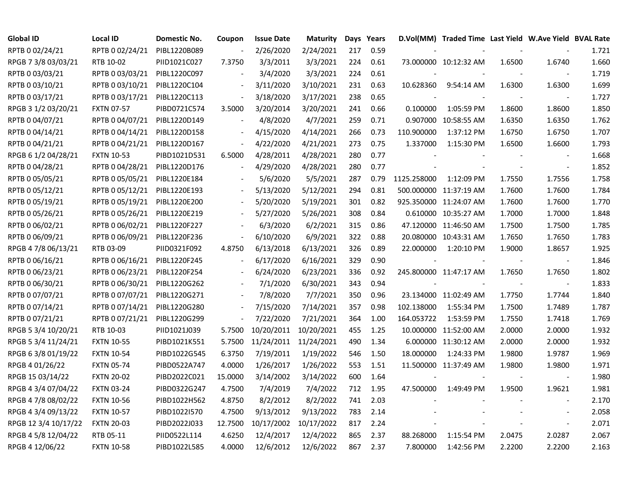| <b>Global ID</b>     | <b>Local ID</b>   | <b>Domestic No.</b> | Coupon                   | <b>Issue Date</b> | <b>Maturity</b>       |     | Days Years |             | D.Vol(MM) Traded Time Last Yield W.Ave Yield BVAL Rate |                |                          |       |
|----------------------|-------------------|---------------------|--------------------------|-------------------|-----------------------|-----|------------|-------------|--------------------------------------------------------|----------------|--------------------------|-------|
| RPTB 0 02/24/21      | RPTB 0 02/24/21   | PIBL1220B089        | $\overline{\phantom{a}}$ | 2/26/2020         | 2/24/2021             | 217 | 0.59       |             |                                                        |                |                          | 1.721 |
| RPGB 7 3/8 03/03/21  | RTB 10-02         | PIID1021C027        | 7.3750                   | 3/3/2011          | 3/3/2021              | 224 | 0.61       |             | 73.000000 10:12:32 AM                                  | 1.6500         | 1.6740                   | 1.660 |
| RPTB 0 03/03/21      | RPTB 0 03/03/21   | PIBL1220C097        |                          | 3/4/2020          | 3/3/2021              | 224 | 0.61       |             |                                                        |                |                          | 1.719 |
| RPTB 0 03/10/21      | RPTB 0 03/10/21   | PIBL1220C104        |                          | 3/11/2020         | 3/10/2021             | 231 | 0.63       | 10.628360   | 9:54:14 AM                                             | 1.6300         | 1.6300                   | 1.699 |
| RPTB 0 03/17/21      | RPTB 0 03/17/21   | PIBL1220C113        |                          | 3/18/2020         | 3/17/2021             | 238 | 0.65       |             |                                                        |                | $\overline{\phantom{a}}$ | 1.727 |
| RPGB 3 1/2 03/20/21  | <b>FXTN 07-57</b> | PIBD0721C574        | 3.5000                   | 3/20/2014         | 3/20/2021             | 241 | 0.66       | 0.100000    | 1:05:59 PM                                             | 1.8600         | 1.8600                   | 1.850 |
| RPTB 0 04/07/21      | RPTB 0 04/07/21   | PIBL1220D149        | $\blacksquare$           | 4/8/2020          | 4/7/2021              | 259 | 0.71       | 0.907000    | 10:58:55 AM                                            | 1.6350         | 1.6350                   | 1.762 |
| RPTB 0 04/14/21      | RPTB 0 04/14/21   | PIBL1220D158        | $\blacksquare$           | 4/15/2020         | 4/14/2021             | 266 | 0.73       | 110.900000  | 1:37:12 PM                                             | 1.6750         | 1.6750                   | 1.707 |
| RPTB 0 04/21/21      | RPTB 0 04/21/21   | PIBL1220D167        | $\overline{a}$           | 4/22/2020         | 4/21/2021             | 273 | 0.75       | 1.337000    | 1:15:30 PM                                             | 1.6500         | 1.6600                   | 1.793 |
| RPGB 6 1/2 04/28/21  | <b>FXTN 10-53</b> | PIBD1021D531        | 6.5000                   | 4/28/2011         | 4/28/2021             | 280 | 0.77       |             |                                                        |                | $\blacksquare$           | 1.668 |
| RPTB 0 04/28/21      | RPTB 0 04/28/21   | PIBL1220D176        | $\blacksquare$           | 4/29/2020         | 4/28/2021             | 280 | 0.77       |             |                                                        | $\blacksquare$ | $\blacksquare$           | 1.852 |
| RPTB 0 05/05/21      | RPTB 0 05/05/21   | PIBL1220E184        |                          | 5/6/2020          | 5/5/2021              | 287 | 0.79       | 1125.258000 | 1:12:09 PM                                             | 1.7550         | 1.7556                   | 1.758 |
| RPTB 0 05/12/21      | RPTB 0 05/12/21   | PIBL1220E193        |                          | 5/13/2020         | 5/12/2021             | 294 | 0.81       |             | 500.000000 11:37:19 AM                                 | 1.7600         | 1.7600                   | 1.784 |
| RPTB 0 05/19/21      | RPTB 0 05/19/21   | PIBL1220E200        |                          | 5/20/2020         | 5/19/2021             | 301 | 0.82       |             | 925.350000 11:24:07 AM                                 | 1.7600         | 1.7600                   | 1.770 |
| RPTB 0 05/26/21      | RPTB 0 05/26/21   | PIBL1220E219        |                          | 5/27/2020         | 5/26/2021             | 308 | 0.84       |             | 0.610000 10:35:27 AM                                   | 1.7000         | 1.7000                   | 1.848 |
| RPTB 0 06/02/21      | RPTB 0 06/02/21   | PIBL1220F227        |                          | 6/3/2020          | 6/2/2021              | 315 | 0.86       |             | 47.120000 11:46:50 AM                                  | 1.7500         | 1.7500                   | 1.785 |
| RPTB 0 06/09/21      | RPTB 0 06/09/21   | PIBL1220F236        | $\blacksquare$           | 6/10/2020         | 6/9/2021              | 322 | 0.88       |             | 20.080000 10:43:31 AM                                  | 1.7650         | 1.7650                   | 1.783 |
| RPGB 4 7/8 06/13/21  | RTB 03-09         | PIID0321F092        | 4.8750                   | 6/13/2018         | 6/13/2021             | 326 | 0.89       | 22.000000   | 1:20:10 PM                                             | 1.9000         | 1.8657                   | 1.925 |
| RPTB 0 06/16/21      | RPTB 0 06/16/21   | PIBL1220F245        | $\bar{\phantom{a}}$      | 6/17/2020         | 6/16/2021             | 329 | 0.90       |             |                                                        |                | $\blacksquare$           | 1.846 |
| RPTB 0 06/23/21      | RPTB 0 06/23/21   | PIBL1220F254        | $\sim$                   | 6/24/2020         | 6/23/2021             | 336 | 0.92       |             | 245.800000 11:47:17 AM                                 | 1.7650         | 1.7650                   | 1.802 |
| RPTB 0 06/30/21      | RPTB 0 06/30/21   | PIBL1220G262        | $\blacksquare$           | 7/1/2020          | 6/30/2021             | 343 | 0.94       |             |                                                        |                | $\overline{\phantom{a}}$ | 1.833 |
| RPTB 0 07/07/21      | RPTB 0 07/07/21   | PIBL1220G271        |                          | 7/8/2020          | 7/7/2021              | 350 | 0.96       |             | 23.134000 11:02:49 AM                                  | 1.7750         | 1.7744                   | 1.840 |
| RPTB 0 07/14/21      | RPTB 0 07/14/21   | PIBL1220G280        |                          | 7/15/2020         | 7/14/2021             | 357 | 0.98       | 102.138000  | 1:55:34 PM                                             | 1.7500         | 1.7489                   | 1.787 |
| RPTB 0 07/21/21      | RPTB 0 07/21/21   | PIBL1220G299        | $\blacksquare$           | 7/22/2020         | 7/21/2021             | 364 | 1.00       | 164.053722  | 1:53:59 PM                                             | 1.7550         | 1.7418                   | 1.769 |
| RPGB 5 3/4 10/20/21  | RTB 10-03         | PIID1021J039        | 5.7500                   | 10/20/2011        | 10/20/2021            | 455 | 1.25       |             | 10.000000 11:52:00 AM                                  | 2.0000         | 2.0000                   | 1.932 |
| RPGB 5 3/4 11/24/21  | <b>FXTN 10-55</b> | PIBD1021K551        | 5.7500                   |                   | 11/24/2011 11/24/2021 | 490 | 1.34       |             | 6.000000 11:30:12 AM                                   | 2.0000         | 2.0000                   | 1.932 |
| RPGB 63/8 01/19/22   | <b>FXTN 10-54</b> | PIBD1022G545        | 6.3750                   | 7/19/2011         | 1/19/2022             | 546 | 1.50       | 18.000000   | 1:24:33 PM                                             | 1.9800         | 1.9787                   | 1.969 |
| RPGB 4 01/26/22      | <b>FXTN 05-74</b> | PIBD0522A747        | 4.0000                   | 1/26/2017         | 1/26/2022             | 553 | 1.51       |             | 11.500000 11:37:49 AM                                  | 1.9800         | 1.9800                   | 1.971 |
| RPGB 15 03/14/22     | <b>FXTN 20-02</b> | PIBD2022C021        | 15.0000                  | 3/14/2002         | 3/14/2022             | 600 | 1.64       |             |                                                        |                |                          | 1.980 |
| RPGB 4 3/4 07/04/22  | <b>FXTN 03-24</b> | PIBD0322G247        | 4.7500                   | 7/4/2019          | 7/4/2022              | 712 | 1.95       | 47.500000   | 1:49:49 PM                                             | 1.9500         | 1.9621                   | 1.981 |
| RPGB 4 7/8 08/02/22  | <b>FXTN 10-56</b> | PIBD1022H562        | 4.8750                   | 8/2/2012          | 8/2/2022              | 741 | 2.03       |             |                                                        |                |                          | 2.170 |
| RPGB 4 3/4 09/13/22  | <b>FXTN 10-57</b> | PIBD1022I570        | 4.7500                   | 9/13/2012         | 9/13/2022             | 783 | 2.14       |             |                                                        |                | $\sim$                   | 2.058 |
| RPGB 12 3/4 10/17/22 | <b>FXTN 20-03</b> | PIBD2022J033        | 12.7500                  | 10/17/2002        | 10/17/2022            | 817 | 2.24       |             |                                                        |                | $\overline{\phantom{a}}$ | 2.071 |
| RPGB 4 5/8 12/04/22  | RTB 05-11         | PIID0522L114        | 4.6250                   | 12/4/2017         | 12/4/2022             | 865 | 2.37       | 88.268000   | 1:15:54 PM                                             | 2.0475         | 2.0287                   | 2.067 |
| RPGB 4 12/06/22      | <b>FXTN 10-58</b> | PIBD1022L585        | 4.0000                   | 12/6/2012         | 12/6/2022             | 867 | 2.37       | 7.800000    | 1:42:56 PM                                             | 2.2200         | 2.2200                   | 2.163 |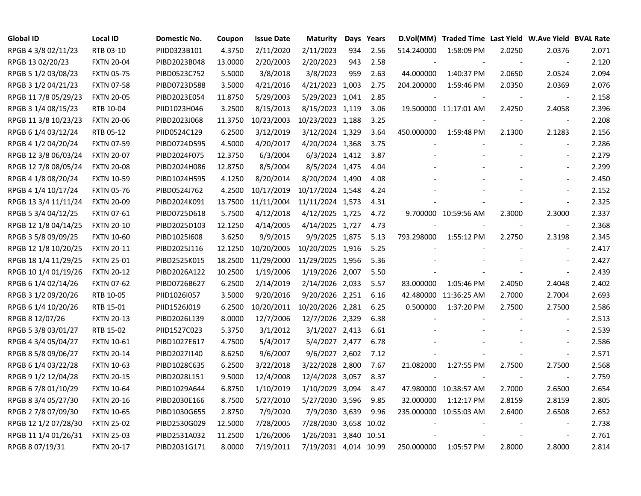| <b>Global ID</b>     | <b>Local ID</b>   | <b>Domestic No.</b> | Coupon  | <b>Issue Date</b> | <b>Maturity</b>       |     | Days Years | D.Vol(MM)  | Traded Time Last Yield W.Ave Yield BVAL Rate |        |                          |       |
|----------------------|-------------------|---------------------|---------|-------------------|-----------------------|-----|------------|------------|----------------------------------------------|--------|--------------------------|-------|
| RPGB 4 3/8 02/11/23  | RTB 03-10         | PIID0323B101        | 4.3750  | 2/11/2020         | 2/11/2023             | 934 | 2.56       | 514.240000 | 1:58:09 PM                                   | 2.0250 | 2.0376                   | 2.071 |
| RPGB 13 02/20/23     | <b>FXTN 20-04</b> | PIBD2023B048        | 13.0000 | 2/20/2003         | 2/20/2023             | 943 | 2.58       |            |                                              |        | $\overline{\phantom{a}}$ | 2.120 |
| RPGB 5 1/2 03/08/23  | <b>FXTN 05-75</b> | PIBD0523C752        | 5.5000  | 3/8/2018          | 3/8/2023              | 959 | 2.63       | 44.000000  | 1:40:37 PM                                   | 2.0650 | 2.0524                   | 2.094 |
| RPGB 3 1/2 04/21/23  | <b>FXTN 07-58</b> | PIBD0723D588        | 3.5000  | 4/21/2016         | 4/21/2023 1,003       |     | 2.75       | 204.200000 | 1:59:46 PM                                   | 2.0350 | 2.0369                   | 2.076 |
| RPGB 11 7/8 05/29/23 | <b>FXTN 20-05</b> | PIBD2023E054        | 11.8750 | 5/29/2003         | 5/29/2023 1,041       |     | 2.85       |            |                                              |        | $\overline{\phantom{a}}$ | 2.158 |
| RPGB 3 1/4 08/15/23  | RTB 10-04         | PIID1023H046        | 3.2500  | 8/15/2013         | 8/15/2023 1,119       |     | 3.06       |            | 19.500000 11:17:01 AM                        | 2.4250 | 2.4058                   | 2.396 |
| RPGB 11 3/8 10/23/23 | <b>FXTN 20-06</b> | PIBD2023J068        | 11.3750 | 10/23/2003        | 10/23/2023 1,188      |     | 3.25       |            |                                              |        | $\blacksquare$           | 2.208 |
| RPGB 6 1/4 03/12/24  | RTB 05-12         | PIID0524C129        | 6.2500  | 3/12/2019         | 3/12/2024 1,329       |     | 3.64       | 450.000000 | 1:59:48 PM                                   | 2.1300 | 2.1283                   | 2.156 |
| RPGB 4 1/2 04/20/24  | <b>FXTN 07-59</b> | PIBD0724D595        | 4.5000  | 4/20/2017         | 4/20/2024 1,368       |     | 3.75       |            |                                              |        | $\blacksquare$           | 2.286 |
| RPGB 12 3/8 06/03/24 | <b>FXTN 20-07</b> | PIBD2024F075        | 12.3750 | 6/3/2004          | 6/3/2024 1,412        |     | 3.87       |            |                                              |        | $\blacksquare$           | 2.279 |
| RPGB 12 7/8 08/05/24 | <b>FXTN 20-08</b> | PIBD2024H086        | 12.8750 | 8/5/2004          | 8/5/2024 1,475        |     | 4.04       |            |                                              |        | $\overline{\phantom{a}}$ | 2.299 |
| RPGB 4 1/8 08/20/24  | <b>FXTN 10-59</b> | PIBD1024H595        | 4.1250  | 8/20/2014         | 8/20/2024 1,490       |     | 4.08       |            |                                              |        | $\overline{\phantom{a}}$ | 2.450 |
| RPGB 4 1/4 10/17/24  | <b>FXTN 05-76</b> | PIBD0524J762        | 4.2500  | 10/17/2019        | 10/17/2024 1,548      |     | 4.24       |            |                                              |        |                          | 2.152 |
| RPGB 13 3/4 11/11/24 | <b>FXTN 20-09</b> | PIBD2024K091        | 13.7500 | 11/11/2004        | 11/11/2024 1,573      |     | 4.31       |            |                                              |        | $\overline{a}$           | 2.325 |
| RPGB 5 3/4 04/12/25  | <b>FXTN 07-61</b> | PIBD0725D618        | 5.7500  | 4/12/2018         | 4/12/2025 1,725       |     | 4.72       |            | 9.700000 10:59:56 AM                         | 2.3000 | 2.3000                   | 2.337 |
| RPGB 12 1/8 04/14/25 | <b>FXTN 20-10</b> | PIBD2025D103        | 12.1250 | 4/14/2005         | 4/14/2025 1,727       |     | 4.73       |            |                                              |        | $\blacksquare$           | 2.368 |
| RPGB 3 5/8 09/09/25  | <b>FXTN 10-60</b> | PIBD1025I608        | 3.6250  | 9/9/2015          | 9/9/2025 1,875        |     | 5.13       | 793.298000 | 1:55:12 PM                                   | 2.2750 | 2.3198                   | 2.345 |
| RPGB 12 1/8 10/20/25 | <b>FXTN 20-11</b> | PIBD2025J116        | 12.1250 | 10/20/2005        | 10/20/2025 1,916      |     | 5.25       |            |                                              |        | $\overline{\phantom{a}}$ | 2.417 |
| RPGB 18 1/4 11/29/25 | <b>FXTN 25-01</b> | PIBD2525K015        | 18.2500 | 11/29/2000        | 11/29/2025 1,956      |     | 5.36       |            |                                              |        |                          | 2.427 |
| RPGB 10 1/4 01/19/26 | <b>FXTN 20-12</b> | PIBD2026A122        | 10.2500 | 1/19/2006         | 1/19/2026 2,007       |     | 5.50       |            |                                              |        | $\overline{\phantom{a}}$ | 2.439 |
| RPGB 6 1/4 02/14/26  | <b>FXTN 07-62</b> | PIBD0726B627        | 6.2500  | 2/14/2019         | 2/14/2026 2,033       |     | 5.57       | 83.000000  | 1:05:46 PM                                   | 2.4050 | 2.4048                   | 2.402 |
| RPGB 3 1/2 09/20/26  | RTB 10-05         | PIID1026I057        | 3.5000  | 9/20/2016         | 9/20/2026 2,251       |     | 6.16       |            | 42.480000 11:36:25 AM                        | 2.7000 | 2.7004                   | 2.693 |
| RPGB 6 1/4 10/20/26  | RTB 15-01         | PIID1526J019        | 6.2500  | 10/20/2011        | 10/20/2026 2,281      |     | 6.25       | 0.500000   | 1:37:20 PM                                   | 2.7500 | 2.7500                   | 2.586 |
| RPGB 8 12/07/26      | <b>FXTN 20-13</b> | PIBD2026L139        | 8.0000  | 12/7/2006         | 12/7/2026 2,329       |     | 6.38       |            |                                              |        | $\blacksquare$           | 2.513 |
| RPGB 5 3/8 03/01/27  | RTB 15-02         | PIID1527C023        | 5.3750  | 3/1/2012          | 3/1/2027 2,413        |     | 6.61       |            |                                              |        | $\overline{\phantom{a}}$ | 2.539 |
| RPGB 4 3/4 05/04/27  | <b>FXTN 10-61</b> | PIBD1027E617        | 4.7500  | 5/4/2017          | 5/4/2027 2,477        |     | 6.78       |            |                                              |        | $\overline{\phantom{a}}$ | 2.586 |
| RPGB 8 5/8 09/06/27  | <b>FXTN 20-14</b> | PIBD2027I140        | 8.6250  | 9/6/2007          | 9/6/2027 2,602        |     | 7.12       |            |                                              |        | $\Box$                   | 2.571 |
| RPGB 6 1/4 03/22/28  | <b>FXTN 10-63</b> | PIBD1028C635        | 6.2500  | 3/22/2018         | 3/22/2028 2,800       |     | 7.67       | 21.082000  | 1:27:55 PM                                   | 2.7500 | 2.7500                   | 2.568 |
| RPGB 9 1/2 12/04/28  | <b>FXTN 20-15</b> | PIBD2028L151        | 9.5000  | 12/4/2008         | 12/4/2028 3,057       |     | 8.37       |            |                                              |        | $\overline{a}$           | 2.759 |
| RPGB 67/8 01/10/29   | <b>FXTN 10-64</b> | PIBD1029A644        | 6.8750  | 1/10/2019         | 1/10/2029 3,094       |     | 8.47       |            | 47.980000 10:38:57 AM                        | 2.7000 | 2.6500                   | 2.654 |
| RPGB 8 3/4 05/27/30  | <b>FXTN 20-16</b> | PIBD2030E166        | 8.7500  | 5/27/2010         | 5/27/2030 3,596       |     | 9.85       | 32.000000  | 1:12:17 PM                                   | 2.8159 | 2.8159                   | 2.805 |
| RPGB 2 7/8 07/09/30  | <b>FXTN 10-65</b> | PIBD1030G655        | 2.8750  | 7/9/2020          | 7/9/2030 3,639        |     | 9.96       |            | 235.000000 10:55:03 AM                       | 2.6400 | 2.6508                   | 2.652 |
| RPGB 12 1/2 07/28/30 | <b>FXTN 25-02</b> | PIBD2530G029        | 12.5000 | 7/28/2005         | 7/28/2030 3,658 10.02 |     |            |            |                                              |        |                          | 2.738 |
| RPGB 11 1/4 01/26/31 | <b>FXTN 25-03</b> | PIBD2531A032        | 11.2500 | 1/26/2006         | 1/26/2031 3,840 10.51 |     |            |            |                                              |        | $\overline{\phantom{a}}$ | 2.761 |
| RPGB 8 07/19/31      | <b>FXTN 20-17</b> | PIBD2031G171        | 8.0000  | 7/19/2011         | 7/19/2031 4,014 10.99 |     |            | 250.000000 | 1:05:57 PM                                   | 2.8000 | 2.8000                   | 2.814 |